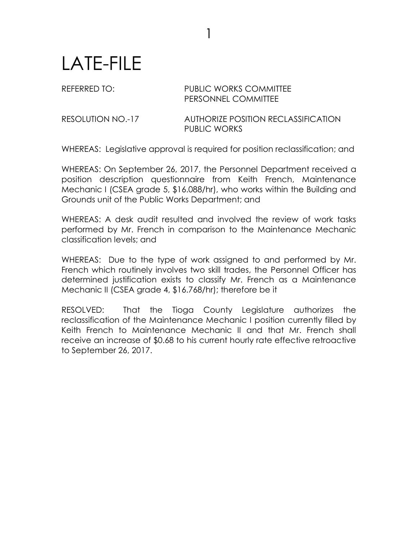## LATE-FILE

## REFERRED TO: PUBLIC WORKS COMMITTEE PERSONNEL COMMITTEE

RESOLUTION NO.-17 AUTHORIZE POSITION RECLASSIFICATION PUBLIC WORKS

WHEREAS: Legislative approval is required for position reclassification; and

1

WHEREAS: On September 26, 2017, the Personnel Department received a position description questionnaire from Keith French, Maintenance Mechanic I (CSEA grade 5, \$16.088/hr), who works within the Building and Grounds unit of the Public Works Department; and

WHEREAS: A desk audit resulted and involved the review of work tasks performed by Mr. French in comparison to the Maintenance Mechanic classification levels; and

WHEREAS: Due to the type of work assigned to and performed by Mr. French which routinely involves two skill trades, the Personnel Officer has determined justification exists to classify Mr. French as a Maintenance Mechanic II (CSEA grade 4, \$16.768/hr); therefore be it

RESOLVED: That the Tioga County Legislature authorizes the reclassification of the Maintenance Mechanic I position currently filled by Keith French to Maintenance Mechanic II and that Mr. French shall receive an increase of \$0.68 to his current hourly rate effective retroactive to September 26, 2017.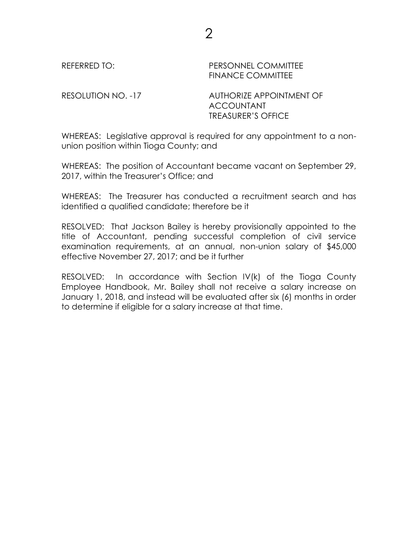REFERRED TO: PERSONNEL COMMITTEE FINANCE COMMITTEE

RESOLUTION NO. -17 AUTHORIZE APPOINTMENT OF ACCOUNTANT TREASURER'S OFFICE

WHEREAS: Legislative approval is required for any appointment to a nonunion position within Tioga County; and

WHEREAS: The position of Accountant became vacant on September 29, 2017, within the Treasurer's Office; and

WHEREAS: The Treasurer has conducted a recruitment search and has identified a qualified candidate; therefore be it

RESOLVED: That Jackson Bailey is hereby provisionally appointed to the title of Accountant, pending successful completion of civil service examination requirements, at an annual, non-union salary of \$45,000 effective November 27, 2017; and be it further

RESOLVED: In accordance with Section IV(k) of the Tioga County Employee Handbook, Mr. Bailey shall not receive a salary increase on January 1, 2018, and instead will be evaluated after six (6) months in order to determine if eligible for a salary increase at that time.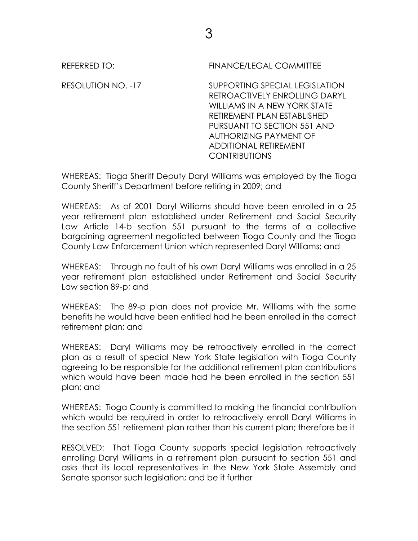REFERRED TO: FINANCE/LEGAL COMMITTEE

RESOLUTION NO. -17 SUPPORTING SPECIAL LEGISLATION RETROACTIVELY ENROLLING DARYL WILLIAMS IN A NEW YORK STATE RETIREMENT PLAN ESTABLISHED PURSUANT TO SECTION 551 AND AUTHORIZING PAYMENT OF ADDITIONAL RETIREMENT **CONTRIBUTIONS** 

WHEREAS: Tioga Sheriff Deputy Daryl Williams was employed by the Tioga County Sheriff's Department before retiring in 2009; and

WHEREAS: As of 2001 Daryl Williams should have been enrolled in a 25 year retirement plan established under Retirement and Social Security Law Article 14-b section 551 pursuant to the terms of a collective bargaining agreement negotiated between Tioga County and the Tioga County Law Enforcement Union which represented Daryl Williams; and

WHEREAS: Through no fault of his own Daryl Williams was enrolled in a 25 year retirement plan established under Retirement and Social Security Law section 89-p; and

WHEREAS: The 89-p plan does not provide Mr. Williams with the same benefits he would have been entitled had he been enrolled in the correct retirement plan; and

WHEREAS: Daryl Williams may be retroactively enrolled in the correct plan as a result of special New York State legislation with Tioga County agreeing to be responsible for the additional retirement plan contributions which would have been made had he been enrolled in the section 551 plan; and

WHEREAS: Tioga County is committed to making the financial contribution which would be required in order to retroactively enroll Daryl Williams in the section 551 retirement plan rather than his current plan; therefore be it

RESOLVED: That Tioga County supports special legislation retroactively enrolling Daryl Williams in a retirement plan pursuant to section 551 and asks that its local representatives in the New York State Assembly and Senate sponsor such legislation; and be it further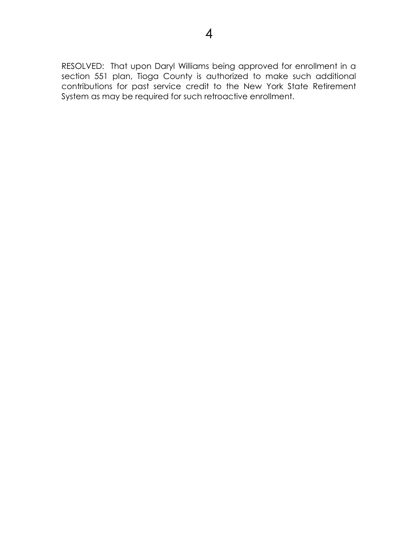RESOLVED: That upon Daryl Williams being approved for enrollment in a section 551 plan, Tioga County is authorized to make such additional contributions for past service credit to the New York State Retirement System as may be required for such retroactive enrollment.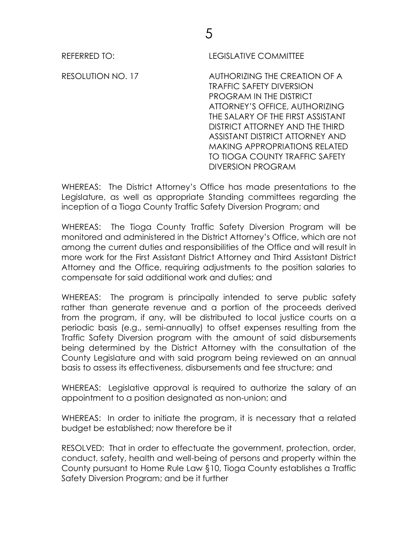REFERRED TO: LEGISLATIVE COMMITTEE

RESOLUTION NO. 17 AUTHORIZING THE CREATION OF A TRAFFIC SAFETY DIVERSION PROGRAM IN THE DISTRICT ATTORNEY'S OFFICE, AUTHORIZING THE SALARY OF THE FIRST ASSISTANT DISTRICT ATTORNEY AND THE THIRD ASSISTANT DISTRICT ATTORNEY AND MAKING APPROPRIATIONS RELATED TO TIOGA COUNTY TRAFFIC SAFETY DIVERSION PROGRAM

WHEREAS: The District Attorney's Office has made presentations to the Legislature, as well as appropriate Standing committees regarding the inception of a Tioga County Traffic Safety Diversion Program; and

WHEREAS: The Tioga County Traffic Safety Diversion Program will be monitored and administered in the District Attorney's Office, which are not among the current duties and responsibilities of the Office and will result in more work for the First Assistant District Attorney and Third Assistant District Attorney and the Office, requiring adjustments to the position salaries to compensate for said additional work and duties; and

WHEREAS: The program is principally intended to serve public safety rather than generate revenue and a portion of the proceeds derived from the program, if any, will be distributed to local justice courts on a periodic basis (e.g., semi-annually) to offset expenses resulting from the Traffic Safety Diversion program with the amount of said disbursements being determined by the District Attorney with the consultation of the County Legislature and with said program being reviewed on an annual basis to assess its effectiveness, disbursements and fee structure; and

WHEREAS: Legislative approval is required to authorize the salary of an appointment to a position designated as non-union; and

WHEREAS: In order to initiate the program, it is necessary that a related budget be established; now therefore be it

RESOLVED: That in order to effectuate the government, protection, order, conduct, safety, health and well-being of persons and property within the County pursuant to Home Rule Law §10, Tioga County establishes a Traffic Safety Diversion Program; and be it further